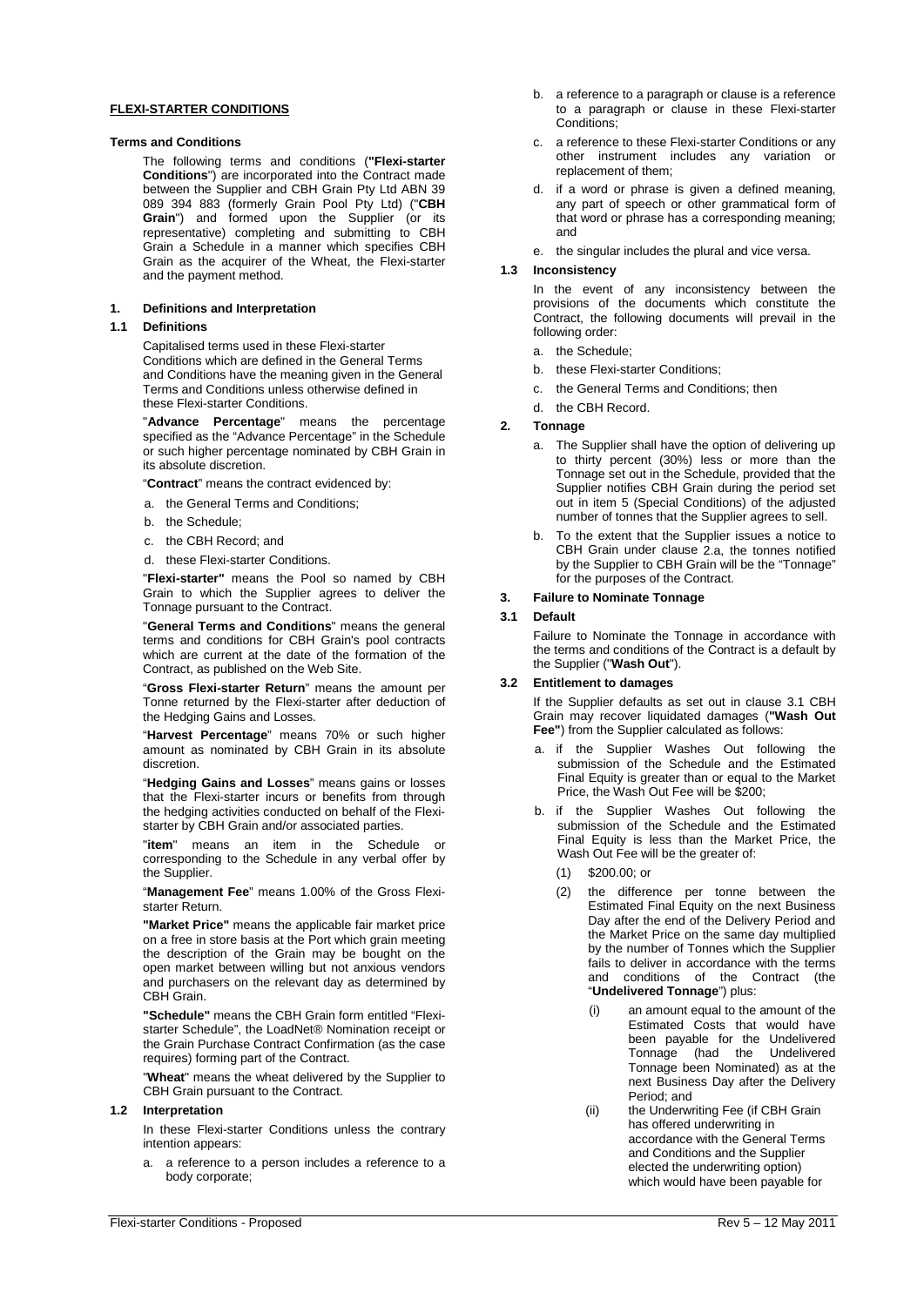#### **FLEXI-STARTER CONDITIONS**

#### **Terms and Conditions**

The following terms and conditions (**"Flexi-starter Conditions**") are incorporated into the Contract made between the Supplier and CBH Grain Pty Ltd ABN 39 089 394 883 (formerly Grain Pool Pty Ltd) ("**CBH Grain**") and formed upon the Supplier (or its representative) completing and submitting to CBH Grain a Schedule in a manner which specifies CBH Grain as the acquirer of the Wheat, the Flexi-starter and the payment method.

### **1. Definitions and Interpretation**

#### **1.1 Definitions**

Capitalised terms used in these Flexi-starter Conditions which are defined in the General Terms and Conditions have the meaning given in the General Terms and Conditions unless otherwise defined in these Flexi-starter Conditions.

"**Advance Percentage**" means the percentage specified as the "Advance Percentage" in the Schedule or such higher percentage nominated by CBH Grain in its absolute discretion.

"**Contract**" means the contract evidenced by:

- a. the General Terms and Conditions;
- b. the Schedule;
- c. the CBH Record; and
- d. these Flexi-starter Conditions.

"**Flexi-starter"** means the Pool so named by CBH Grain to which the Supplier agrees to deliver the Tonnage pursuant to the Contract.

"**General Terms and Conditions**" means the general terms and conditions for CBH Grain's pool contracts which are current at the date of the formation of the Contract, as published on the Web Site.

"**Gross Flexi-starter Return**" means the amount per Tonne returned by the Flexi-starter after deduction of the Hedging Gains and Losses.

"**Harvest Percentage**" means 70% or such higher amount as nominated by CBH Grain in its absolute discretion.

"**Hedging Gains and Losses**" means gains or losses that the Flexi-starter incurs or benefits from through the hedging activities conducted on behalf of the Flexistarter by CBH Grain and/or associated parties.

"**item**" means an item in the Schedule corresponding to the Schedule in any verbal offer by the Supplier.

"**Management Fee**" means 1.00% of the Gross Flexistarter Return.

**"Market Price"** means the applicable fair market price on a free in store basis at the Port which grain meeting the description of the Grain may be bought on the open market between willing but not anxious vendors and purchasers on the relevant day as determined by CBH Grain.

**"Schedule"** means the CBH Grain form entitled "Flexistarter Schedule", the LoadNet® Nomination receipt or the Grain Purchase Contract Confirmation (as the case requires) forming part of the Contract.

"**Wheat**" means the wheat delivered by the Supplier to CBH Grain pursuant to the Contract.

# **1.2 Interpretation**

In these Flexi-starter Conditions unless the contrary intention appears:

a. a reference to a person includes a reference to a body corporate;

- b. a reference to a paragraph or clause is a reference to a paragraph or clause in these Flexi-starter Conditions<sup>:</sup>
- c. a reference to these Flexi-starter Conditions or any other instrument includes any variation or replacement of them;
- d. if a word or phrase is given a defined meaning, any part of speech or other grammatical form of that word or phrase has a corresponding meaning; and
- e. the singular includes the plural and vice versa.

## **1.3 Inconsistency**

In the event of any inconsistency between the provisions of the documents which constitute the Contract, the following documents will prevail in the following order:

- a. the Schedule;
- b. these Flexi-starter Conditions;
- c. the General Terms and Conditions; then
- d. the CBH Record.

#### <span id="page-0-0"></span>**2. Tonnage**

- a. The Supplier shall have the option of delivering up to thirty percent (30%) less or more than the Tonnage set out in the Schedule, provided that the Supplier notifies CBH Grain during the period set out in item 5 (Special Conditions) of the adjusted number of tonnes that the Supplier agrees to sell.
- b. To the extent that the Supplier issues a notice to CBH Grain under clause [2.a,](#page-0-0) the tonnes notified by the Supplier to CBH Grain will be the "Tonnage" for the purposes of the Contract.

#### **3. Failure to Nominate Tonnage**

## <span id="page-0-1"></span>**3.1 Default**

Failure to Nominate the Tonnage in accordance with the terms and conditions of the Contract is a default by the Supplier ("**Wash Out**").

## <span id="page-0-2"></span>**3.2 Entitlement to damages**

If the Supplier defaults as set out in clause [3.1](#page-0-1) CBH Grain may recover liquidated damages (**"Wash Out Fee"**) from the Supplier calculated as follows:

- a. if the Supplier Washes Out following the submission of the Schedule and the Estimated Final Equity is greater than or equal to the Market Price, the Wash Out Fee will be \$200;
- b. if the Supplier Washes Out following the submission of the Schedule and the Estimated Final Equity is less than the Market Price, the Wash Out Fee will be the greater of:
	- (1) \$200.00; or
	- (2) the difference per tonne between the Estimated Final Equity on the next Business Day after the end of the Delivery Period and the Market Price on the same day multiplied by the number of Tonnes which the Supplier fails to deliver in accordance with the terms and conditions of the Contract (the "**Undelivered Tonnage**") plus:
		- (i) an amount equal to the amount of the Estimated Costs that would have been payable for the Undelivered Tonnage (had the Undelivered Tonnage been Nominated) as at the next Business Day after the Delivery Period; and
		- (ii) the Underwriting Fee (if CBH Grain has offered underwriting in accordance with the General Terms and Conditions and the Supplier elected the underwriting option) which would have been payable for